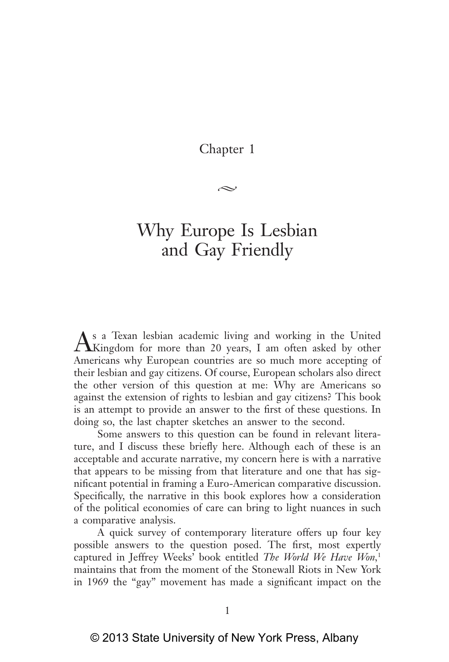Chapter 1

 $\sim$ 

# Why Europe Is Lesbian and Gay Friendly

As a Texan lesbian academic living and working in the United Kingdom for more than 20 years, I am often asked by other Americans why European countries are so much more accepting of their lesbian and gay citizens. Of course, European scholars also direct the other version of this question at me: Why are Americans so against the extension of rights to lesbian and gay citizens? This book is an attempt to provide an answer to the first of these questions. In doing so, the last chapter sketches an answer to the second.

Some answers to this question can be found in relevant literature, and I discuss these briefly here. Although each of these is an acceptable and accurate narrative, my concern here is with a narrative that appears to be missing from that literature and one that has significant potential in framing a Euro-American comparative discussion. Specifically, the narrative in this book explores how a consideration of the political economies of care can bring to light nuances in such a comparative analysis.

A quick survey of contemporary literature offers up four key possible answers to the question posed. The first, most expertly captured in Jeffrey Weeks' book entitled *The World We Have Won,*<sup>1</sup> maintains that from the moment of the Stonewall Riots in New York in 1969 the "gay" movement has made a significant impact on the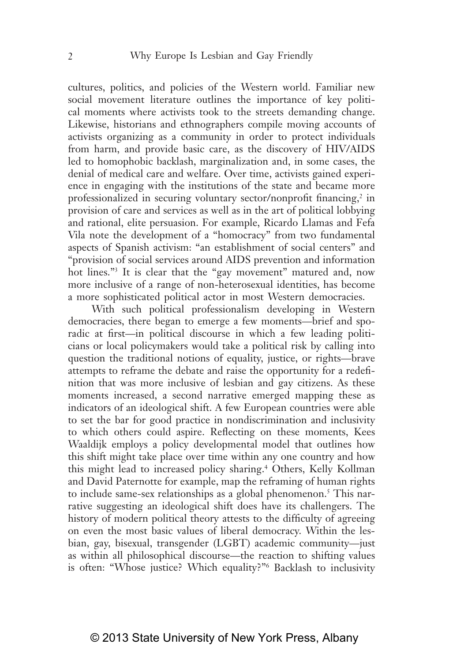cultures, politics, and policies of the Western world. Familiar new social movement literature outlines the importance of key political moments where activists took to the streets demanding change. Likewise, historians and ethnographers compile moving accounts of activists organizing as a community in order to protect individuals from harm, and provide basic care, as the discovery of HIV/AIDS led to homophobic backlash, marginalization and, in some cases, the denial of medical care and welfare. Over time, activists gained experience in engaging with the institutions of the state and became more professionalized in securing voluntary sector/nonprofit financing,<sup>2</sup> in provision of care and services as well as in the art of political lobbying and rational, elite persuasion. For example, Ricardo Llamas and Fefa Vila note the development of a "homocracy" from two fundamental aspects of Spanish activism: "an establishment of social centers" and "provision of social services around AIDS prevention and information hot lines."3 It is clear that the "gay movement" matured and, now more inclusive of a range of non-heterosexual identities, has become a more sophisticated political actor in most Western democracies.

With such political professionalism developing in Western democracies, there began to emerge a few moments—brief and sporadic at first—in political discourse in which a few leading politicians or local policymakers would take a political risk by calling into question the traditional notions of equality, justice, or rights—brave attempts to reframe the debate and raise the opportunity for a redefinition that was more inclusive of lesbian and gay citizens. As these moments increased, a second narrative emerged mapping these as indicators of an ideological shift. A few European countries were able to set the bar for good practice in nondiscrimination and inclusivity to which others could aspire. Reflecting on these moments, Kees Waaldijk employs a policy developmental model that outlines how this shift might take place over time within any one country and how this might lead to increased policy sharing.4 Others, Kelly Kollman and David Paternotte for example, map the reframing of human rights to include same-sex relationships as a global phenomenon.<sup>5</sup> This narrative suggesting an ideological shift does have its challengers. The history of modern political theory attests to the difficulty of agreeing on even the most basic values of liberal democracy. Within the lesbian, gay, bisexual, transgender (LGBT) academic community—just as within all philosophical discourse—the reaction to shifting values is often: "Whose justice? Which equality?"6 Backlash to inclusivity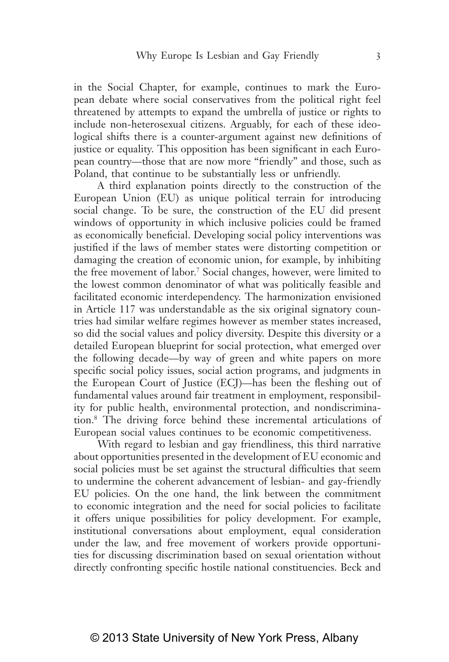in the Social Chapter, for example, continues to mark the European debate where social conservatives from the political right feel threatened by attempts to expand the umbrella of justice or rights to include non-heterosexual citizens. Arguably, for each of these ideological shifts there is a counter-argument against new definitions of justice or equality. This opposition has been significant in each European country—those that are now more "friendly" and those, such as Poland, that continue to be substantially less or unfriendly.

A third explanation points directly to the construction of the European Union (EU) as unique political terrain for introducing social change. To be sure, the construction of the EU did present windows of opportunity in which inclusive policies could be framed as economically beneficial. Developing social policy interventions was justified if the laws of member states were distorting competition or damaging the creation of economic union, for example, by inhibiting the free movement of labor.7 Social changes, however, were limited to the lowest common denominator of what was politically feasible and facilitated economic interdependency. The harmonization envisioned in Article 117 was understandable as the six original signatory countries had similar welfare regimes however as member states increased, so did the social values and policy diversity. Despite this diversity or a detailed European blueprint for social protection, what emerged over the following decade—by way of green and white papers on more specific social policy issues, social action programs, and judgments in the European Court of Justice (ECJ)—has been the fleshing out of fundamental values around fair treatment in employment, responsibility for public health, environmental protection, and nondiscrimination.8 The driving force behind these incremental articulations of European social values continues to be economic competitiveness.

With regard to lesbian and gay friendliness, this third narrative about opportunities presented in the development of EU economic and social policies must be set against the structural difficulties that seem to undermine the coherent advancement of lesbian- and gay-friendly EU policies. On the one hand, the link between the commitment to economic integration and the need for social policies to facilitate it offers unique possibilities for policy development. For example, institutional conversations about employment, equal consideration under the law, and free movement of workers provide opportunities for discussing discrimination based on sexual orientation without directly confronting specific hostile national constituencies. Beck and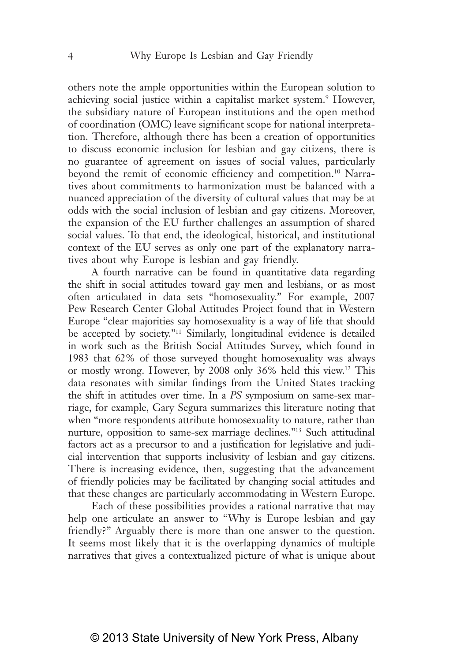others note the ample opportunities within the European solution to achieving social justice within a capitalist market system.<sup>9</sup> However, the subsidiary nature of European institutions and the open method of coordination (OMC) leave significant scope for national interpretation. Therefore, although there has been a creation of opportunities to discuss economic inclusion for lesbian and gay citizens, there is no guarantee of agreement on issues of social values, particularly beyond the remit of economic efficiency and competition.<sup>10</sup> Narratives about commitments to harmonization must be balanced with a nuanced appreciation of the diversity of cultural values that may be at odds with the social inclusion of lesbian and gay citizens. Moreover, the expansion of the EU further challenges an assumption of shared social values. To that end, the ideological, historical, and institutional context of the EU serves as only one part of the explanatory narratives about why Europe is lesbian and gay friendly.

A fourth narrative can be found in quantitative data regarding the shift in social attitudes toward gay men and lesbians, or as most often articulated in data sets "homosexuality." For example, 2007 Pew Research Center Global Attitudes Project found that in Western Europe "clear majorities say homosexuality is a way of life that should be accepted by society."11 Similarly, longitudinal evidence is detailed in work such as the British Social Attitudes Survey, which found in 1983 that 62% of those surveyed thought homosexuality was always or mostly wrong. However, by 2008 only 36% held this view.12 This data resonates with similar findings from the United States tracking the shift in attitudes over time. In a *PS* symposium on same-sex marriage, for example, Gary Segura summarizes this literature noting that when "more respondents attribute homosexuality to nature, rather than nurture, opposition to same-sex marriage declines."13 Such attitudinal factors act as a precursor to and a justification for legislative and judicial intervention that supports inclusivity of lesbian and gay citizens. There is increasing evidence, then, suggesting that the advancement of friendly policies may be facilitated by changing social attitudes and that these changes are particularly accommodating in Western Europe.

Each of these possibilities provides a rational narrative that may help one articulate an answer to "Why is Europe lesbian and gay friendly?" Arguably there is more than one answer to the question. It seems most likely that it is the overlapping dynamics of multiple narratives that gives a contextualized picture of what is unique about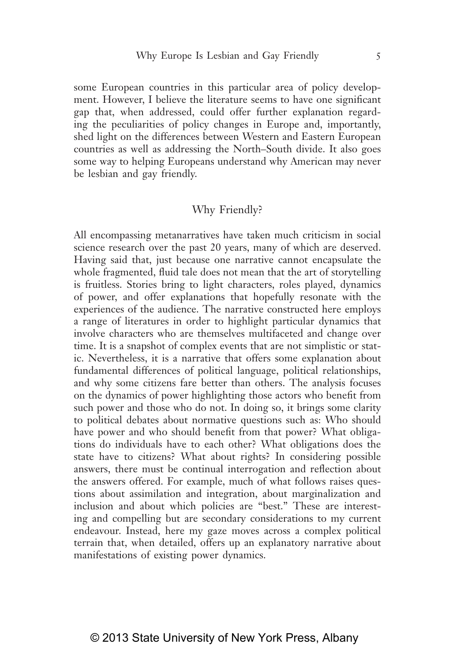some European countries in this particular area of policy development. However, I believe the literature seems to have one significant gap that, when addressed, could offer further explanation regarding the peculiarities of policy changes in Europe and, importantly, shed light on the differences between Western and Eastern European countries as well as addressing the North–South divide. It also goes some way to helping Europeans understand why American may never be lesbian and gay friendly.

### Why Friendly?

All encompassing metanarratives have taken much criticism in social science research over the past 20 years, many of which are deserved. Having said that, just because one narrative cannot encapsulate the whole fragmented, fluid tale does not mean that the art of storytelling is fruitless. Stories bring to light characters, roles played, dynamics of power, and offer explanations that hopefully resonate with the experiences of the audience. The narrative constructed here employs a range of literatures in order to highlight particular dynamics that involve characters who are themselves multifaceted and change over time. It is a snapshot of complex events that are not simplistic or static. Nevertheless, it is a narrative that offers some explanation about fundamental differences of political language, political relationships, and why some citizens fare better than others. The analysis focuses on the dynamics of power highlighting those actors who benefit from such power and those who do not. In doing so, it brings some clarity to political debates about normative questions such as: Who should have power and who should benefit from that power? What obligations do individuals have to each other? What obligations does the state have to citizens? What about rights? In considering possible answers, there must be continual interrogation and reflection about the answers offered. For example, much of what follows raises questions about assimilation and integration, about marginalization and inclusion and about which policies are "best." These are interesting and compelling but are secondary considerations to my current endeavour. Instead, here my gaze moves across a complex political terrain that, when detailed, offers up an explanatory narrative about manifestations of existing power dynamics.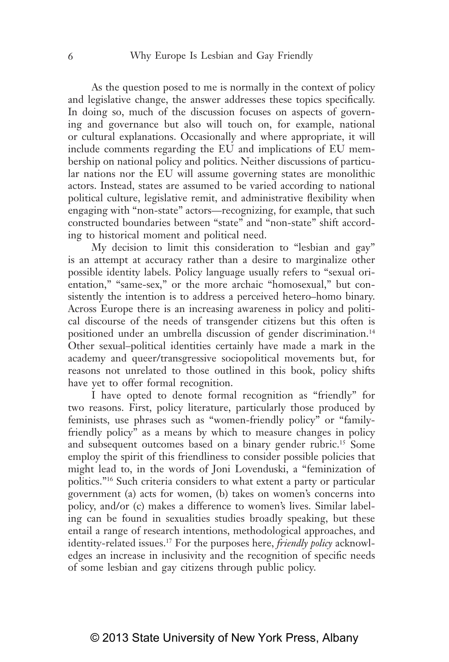As the question posed to me is normally in the context of policy and legislative change, the answer addresses these topics specifically. In doing so, much of the discussion focuses on aspects of governing and governance but also will touch on, for example, national or cultural explanations. Occasionally and where appropriate, it will include comments regarding the EU and implications of EU membership on national policy and politics. Neither discussions of particular nations nor the EU will assume governing states are monolithic actors. Instead, states are assumed to be varied according to national political culture, legislative remit, and administrative flexibility when engaging with "non-state" actors—recognizing, for example, that such constructed boundaries between "state" and "non-state" shift according to historical moment and political need.

My decision to limit this consideration to "lesbian and gay" is an attempt at accuracy rather than a desire to marginalize other possible identity labels. Policy language usually refers to "sexual orientation," "same-sex," or the more archaic "homosexual," but consistently the intention is to address a perceived hetero–homo binary. Across Europe there is an increasing awareness in policy and political discourse of the needs of transgender citizens but this often is positioned under an umbrella discussion of gender discrimination.14 Other sexual–political identities certainly have made a mark in the academy and queer/transgressive sociopolitical movements but, for reasons not unrelated to those outlined in this book, policy shifts have yet to offer formal recognition.

I have opted to denote formal recognition as "friendly" for two reasons. First, policy literature, particularly those produced by feminists, use phrases such as "women-friendly policy" or "familyfriendly policy" as a means by which to measure changes in policy and subsequent outcomes based on a binary gender rubric.<sup>15</sup> Some employ the spirit of this friendliness to consider possible policies that might lead to, in the words of Joni Lovenduski, a "feminization of politics."16 Such criteria considers to what extent a party or particular government (a) acts for women, (b) takes on women's concerns into policy, and/or (c) makes a difference to women's lives. Similar labeling can be found in sexualities studies broadly speaking, but these entail a range of research intentions, methodological approaches, and identity-related issues.17 For the purposes here, *friendly policy* acknowledges an increase in inclusivity and the recognition of specific needs of some lesbian and gay citizens through public policy.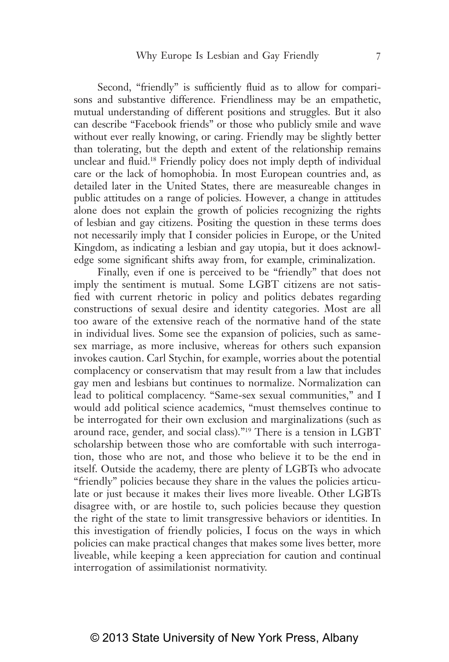Second, "friendly" is sufficiently fluid as to allow for comparisons and substantive difference. Friendliness may be an empathetic, mutual understanding of different positions and struggles. But it also can describe "Facebook friends" or those who publicly smile and wave without ever really knowing, or caring. Friendly may be slightly better than tolerating, but the depth and extent of the relationship remains unclear and fluid.18 Friendly policy does not imply depth of individual care or the lack of homophobia. In most European countries and, as detailed later in the United States, there are measureable changes in public attitudes on a range of policies. However, a change in attitudes alone does not explain the growth of policies recognizing the rights of lesbian and gay citizens. Positing the question in these terms does not necessarily imply that I consider policies in Europe, or the United Kingdom, as indicating a lesbian and gay utopia, but it does acknowledge some significant shifts away from, for example, criminalization.

Finally, even if one is perceived to be "friendly" that does not imply the sentiment is mutual. Some LGBT citizens are not satisfied with current rhetoric in policy and politics debates regarding constructions of sexual desire and identity categories. Most are all too aware of the extensive reach of the normative hand of the state in individual lives. Some see the expansion of policies, such as samesex marriage, as more inclusive, whereas for others such expansion invokes caution. Carl Stychin, for example, worries about the potential complacency or conservatism that may result from a law that includes gay men and lesbians but continues to normalize. Normalization can lead to political complacency. "Same-sex sexual communities," and I would add political science academics, "must themselves continue to be interrogated for their own exclusion and marginalizations (such as around race, gender, and social class)."19 There is a tension in LGBT scholarship between those who are comfortable with such interrogation, those who are not, and those who believe it to be the end in itself. Outside the academy, there are plenty of LGBTs who advocate "friendly" policies because they share in the values the policies articulate or just because it makes their lives more liveable. Other LGBTs disagree with, or are hostile to, such policies because they question the right of the state to limit transgressive behaviors or identities. In this investigation of friendly policies, I focus on the ways in which policies can make practical changes that makes some lives better, more liveable, while keeping a keen appreciation for caution and continual interrogation of assimilationist normativity.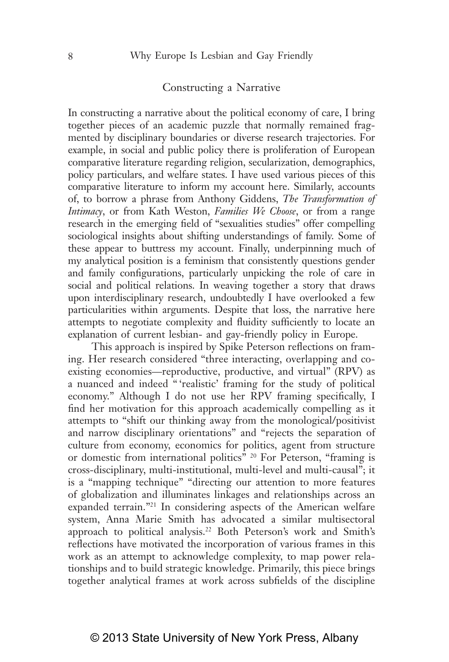### Constructing a Narrative

In constructing a narrative about the political economy of care, I bring together pieces of an academic puzzle that normally remained fragmented by disciplinary boundaries or diverse research trajectories. For example, in social and public policy there is proliferation of European comparative literature regarding religion, secularization, demographics, policy particulars, and welfare states. I have used various pieces of this comparative literature to inform my account here. Similarly, accounts of, to borrow a phrase from Anthony Giddens, *The Transformation of Intimacy*, or from Kath Weston, *Families We Choose*, or from a range research in the emerging field of "sexualities studies" offer compelling sociological insights about shifting understandings of family. Some of these appear to buttress my account. Finally, underpinning much of my analytical position is a feminism that consistently questions gender and family configurations, particularly unpicking the role of care in social and political relations. In weaving together a story that draws upon interdisciplinary research, undoubtedly I have overlooked a few particularities within arguments. Despite that loss, the narrative here attempts to negotiate complexity and fluidity sufficiently to locate an explanation of current lesbian- and gay-friendly policy in Europe.

This approach is inspired by Spike Peterson reflections on framing. Her research considered "three interacting, overlapping and coexisting economies—reproductive, productive, and virtual" (RPV) as a nuanced and indeed " 'realistic' framing for the study of political economy." Although I do not use her RPV framing specifically, I find her motivation for this approach academically compelling as it attempts to "shift our thinking away from the monological/positivist and narrow disciplinary orientations" and "rejects the separation of culture from economy, economics for politics, agent from structure or domestic from international politics"<sup>20</sup> For Peterson, "framing is cross-disciplinary, multi-institutional, multi-level and multi-causal"; it is a "mapping technique" "directing our attention to more features of globalization and illuminates linkages and relationships across an expanded terrain."<sup>21</sup> In considering aspects of the American welfare system, Anna Marie Smith has advocated a similar multisectoral approach to political analysis.22 Both Peterson's work and Smith's reflections have motivated the incorporation of various frames in this work as an attempt to acknowledge complexity, to map power relationships and to build strategic knowledge. Primarily, this piece brings together analytical frames at work across subfields of the discipline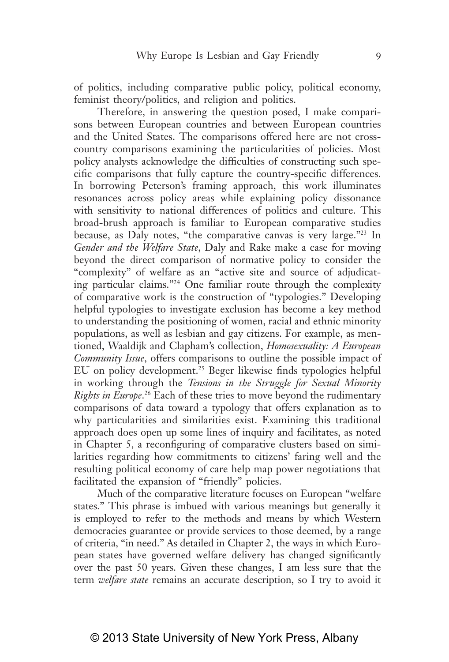of politics, including comparative public policy, political economy, feminist theory/politics, and religion and politics.

Therefore, in answering the question posed, I make comparisons between European countries and between European countries and the United States. The comparisons offered here are not crosscountry comparisons examining the particularities of policies. Most policy analysts acknowledge the difficulties of constructing such specific comparisons that fully capture the country-specific differences. In borrowing Peterson's framing approach, this work illuminates resonances across policy areas while explaining policy dissonance with sensitivity to national differences of politics and culture. This broad-brush approach is familiar to European comparative studies because, as Daly notes, "the comparative canvas is very large."23 In *Gender and the Welfare State*, Daly and Rake make a case for moving beyond the direct comparison of normative policy to consider the "complexity" of welfare as an "active site and source of adjudicating particular claims."24 One familiar route through the complexity of comparative work is the construction of "typologies." Developing helpful typologies to investigate exclusion has become a key method to understanding the positioning of women, racial and ethnic minority populations, as well as lesbian and gay citizens. For example, as mentioned, Waaldijk and Clapham's collection, *Homosexuality: A European Community Issue*, offers comparisons to outline the possible impact of EU on policy development.25 Beger likewise finds typologies helpful in working through the *Tensions in the Struggle for Sexual Minority Rights in Europe*. 26 Each of these tries to move beyond the rudimentary comparisons of data toward a typology that offers explanation as to why particularities and similarities exist. Examining this traditional approach does open up some lines of inquiry and facilitates, as noted in Chapter 5, a reconfiguring of comparative clusters based on similarities regarding how commitments to citizens' faring well and the resulting political economy of care help map power negotiations that facilitated the expansion of "friendly" policies.

Much of the comparative literature focuses on European "welfare states." This phrase is imbued with various meanings but generally it is employed to refer to the methods and means by which Western democracies guarantee or provide services to those deemed, by a range of criteria, "in need." As detailed in Chapter 2, the ways in which European states have governed welfare delivery has changed significantly over the past 50 years. Given these changes, I am less sure that the term *welfare state* remains an accurate description, so I try to avoid it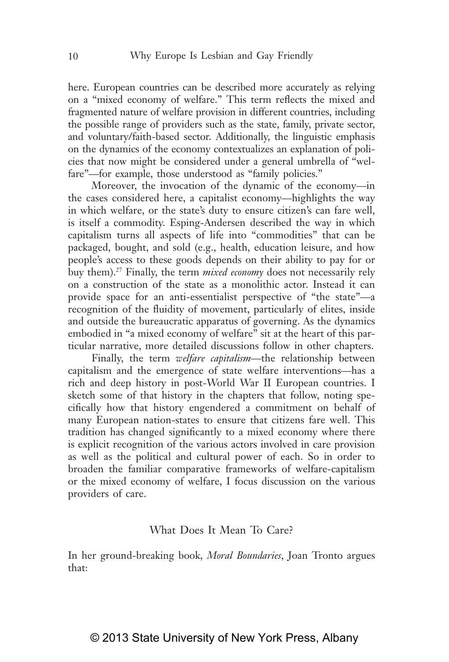here. European countries can be described more accurately as relying on a "mixed economy of welfare." This term reflects the mixed and fragmented nature of welfare provision in different countries, including the possible range of providers such as the state, family, private sector, and voluntary/faith-based sector. Additionally, the linguistic emphasis on the dynamics of the economy contextualizes an explanation of policies that now might be considered under a general umbrella of "welfare"—for example, those understood as "family policies."

Moreover, the invocation of the dynamic of the economy—in the cases considered here, a capitalist economy—highlights the way in which welfare, or the state's duty to ensure citizen's can fare well, is itself a commodity. Esping-Andersen described the way in which capitalism turns all aspects of life into "commodities" that can be packaged, bought, and sold (e.g., health, education leisure, and how people's access to these goods depends on their ability to pay for or buy them).27 Finally, the term *mixed economy* does not necessarily rely on a construction of the state as a monolithic actor. Instead it can provide space for an anti-essentialist perspective of "the state"—a recognition of the fluidity of movement, particularly of elites, inside and outside the bureaucratic apparatus of governing. As the dynamics embodied in "a mixed economy of welfare" sit at the heart of this particular narrative, more detailed discussions follow in other chapters.

Finally, the term *welfare capitalism*—the relationship between capitalism and the emergence of state welfare interventions—has a rich and deep history in post-World War II European countries. I sketch some of that history in the chapters that follow, noting specifically how that history engendered a commitment on behalf of many European nation-states to ensure that citizens fare well. This tradition has changed significantly to a mixed economy where there is explicit recognition of the various actors involved in care provision as well as the political and cultural power of each. So in order to broaden the familiar comparative frameworks of welfare-capitalism or the mixed economy of welfare, I focus discussion on the various providers of care.

## What Does It Mean To Care?

In her ground-breaking book, *Moral Boundaries*, Joan Tronto argues that:

## © 2013 State University of New York Press, Albany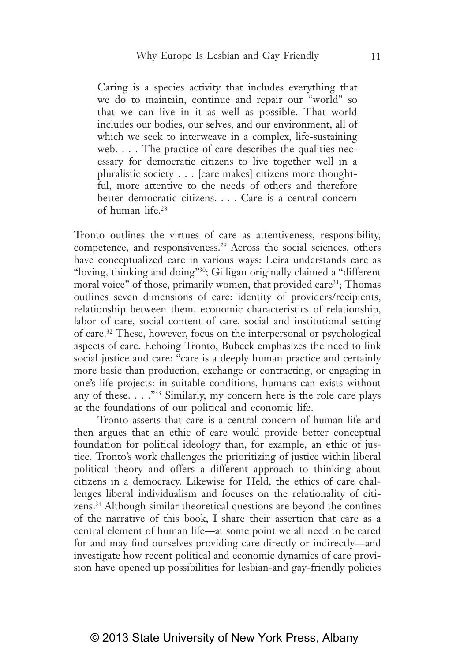Caring is a species activity that includes everything that we do to maintain, continue and repair our "world" so that we can live in it as well as possible. That world includes our bodies, our selves, and our environment, all of which we seek to interweave in a complex, life-sustaining web. . . . The practice of care describes the qualities necessary for democratic citizens to live together well in a pluralistic society . . . [care makes] citizens more thoughtful, more attentive to the needs of others and therefore better democratic citizens. . . . Care is a central concern of human life.28

Tronto outlines the virtues of care as attentiveness, responsibility, competence, and responsiveness.<sup>29</sup> Across the social sciences, others have conceptualized care in various ways: Leira understands care as "loving, thinking and doing"30; Gilligan originally claimed a "different moral voice" of those, primarily women, that provided care<sup>31</sup>; Thomas outlines seven dimensions of care: identity of providers/recipients, relationship between them, economic characteristics of relationship, labor of care, social content of care, social and institutional setting of care.32 These, however, focus on the interpersonal or psychological aspects of care. Echoing Tronto, Bubeck emphasizes the need to link social justice and care: "care is a deeply human practice and certainly more basic than production, exchange or contracting, or engaging in one's life projects: in suitable conditions, humans can exists without any of these. . . ."<sup>33</sup> Similarly, my concern here is the role care plays at the foundations of our political and economic life.

Tronto asserts that care is a central concern of human life and then argues that an ethic of care would provide better conceptual foundation for political ideology than, for example, an ethic of justice. Tronto's work challenges the prioritizing of justice within liberal political theory and offers a different approach to thinking about citizens in a democracy. Likewise for Held, the ethics of care challenges liberal individualism and focuses on the relationality of citizens.34 Although similar theoretical questions are beyond the confines of the narrative of this book, I share their assertion that care as a central element of human life—at some point we all need to be cared for and may find ourselves providing care directly or indirectly—and investigate how recent political and economic dynamics of care provision have opened up possibilities for lesbian-and gay-friendly policies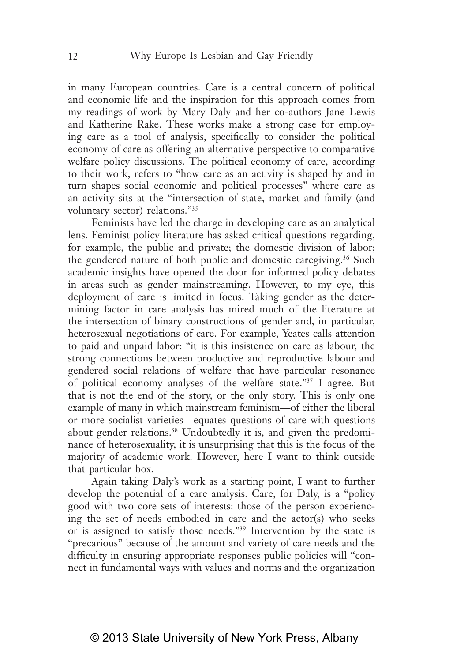in many European countries. Care is a central concern of political and economic life and the inspiration for this approach comes from my readings of work by Mary Daly and her co-authors Jane Lewis and Katherine Rake. These works make a strong case for employing care as a tool of analysis, specifically to consider the political economy of care as offering an alternative perspective to comparative welfare policy discussions. The political economy of care, according to their work, refers to "how care as an activity is shaped by and in turn shapes social economic and political processes" where care as an activity sits at the "intersection of state, market and family (and voluntary sector) relations."35

Feminists have led the charge in developing care as an analytical lens. Feminist policy literature has asked critical questions regarding, for example, the public and private; the domestic division of labor; the gendered nature of both public and domestic caregiving.<sup>36</sup> Such academic insights have opened the door for informed policy debates in areas such as gender mainstreaming. However, to my eye, this deployment of care is limited in focus. Taking gender as the determining factor in care analysis has mired much of the literature at the intersection of binary constructions of gender and, in particular, heterosexual negotiations of care. For example, Yeates calls attention to paid and unpaid labor: "it is this insistence on care as labour, the strong connections between productive and reproductive labour and gendered social relations of welfare that have particular resonance of political economy analyses of the welfare state."37 I agree. But that is not the end of the story, or the only story. This is only one example of many in which mainstream feminism—of either the liberal or more socialist varieties—equates questions of care with questions about gender relations.<sup>38</sup> Undoubtedly it is, and given the predominance of heterosexuality, it is unsurprising that this is the focus of the majority of academic work. However, here I want to think outside that particular box.

Again taking Daly's work as a starting point, I want to further develop the potential of a care analysis. Care, for Daly, is a "policy good with two core sets of interests: those of the person experiencing the set of needs embodied in care and the actor(s) who seeks or is assigned to satisfy those needs."39 Intervention by the state is "precarious" because of the amount and variety of care needs and the difficulty in ensuring appropriate responses public policies will "connect in fundamental ways with values and norms and the organization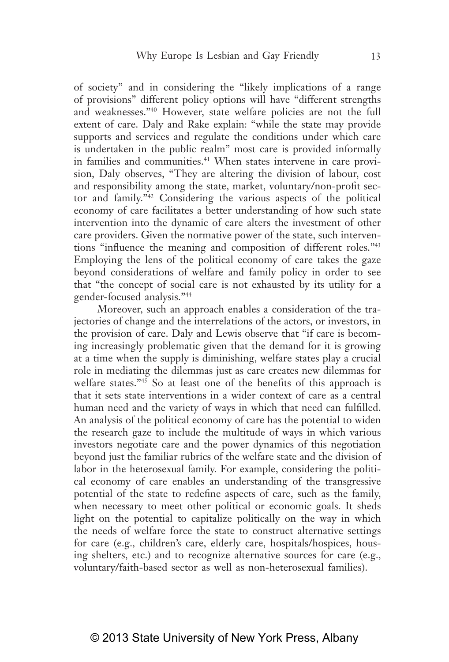of society" and in considering the "likely implications of a range of provisions" different policy options will have "different strengths and weaknesses."40 However, state welfare policies are not the full extent of care. Daly and Rake explain: "while the state may provide supports and services and regulate the conditions under which care is undertaken in the public realm" most care is provided informally in families and communities.<sup>41</sup> When states intervene in care provision, Daly observes, "They are altering the division of labour, cost and responsibility among the state, market, voluntary/non-profit sector and family."42 Considering the various aspects of the political economy of care facilitates a better understanding of how such state intervention into the dynamic of care alters the investment of other care providers. Given the normative power of the state, such interventions "influence the meaning and composition of different roles."43 Employing the lens of the political economy of care takes the gaze beyond considerations of welfare and family policy in order to see that "the concept of social care is not exhausted by its utility for a gender-focused analysis."44

Moreover, such an approach enables a consideration of the trajectories of change and the interrelations of the actors, or investors, in the provision of care. Daly and Lewis observe that "if care is becoming increasingly problematic given that the demand for it is growing at a time when the supply is diminishing, welfare states play a crucial role in mediating the dilemmas just as care creates new dilemmas for welfare states."45 So at least one of the benefits of this approach is that it sets state interventions in a wider context of care as a central human need and the variety of ways in which that need can fulfilled. An analysis of the political economy of care has the potential to widen the research gaze to include the multitude of ways in which various investors negotiate care and the power dynamics of this negotiation beyond just the familiar rubrics of the welfare state and the division of labor in the heterosexual family. For example, considering the political economy of care enables an understanding of the transgressive potential of the state to redefine aspects of care, such as the family, when necessary to meet other political or economic goals. It sheds light on the potential to capitalize politically on the way in which the needs of welfare force the state to construct alternative settings for care (e.g., children's care, elderly care, hospitals/hospices, housing shelters, etc.) and to recognize alternative sources for care (e.g., voluntary/faith-based sector as well as non-heterosexual families).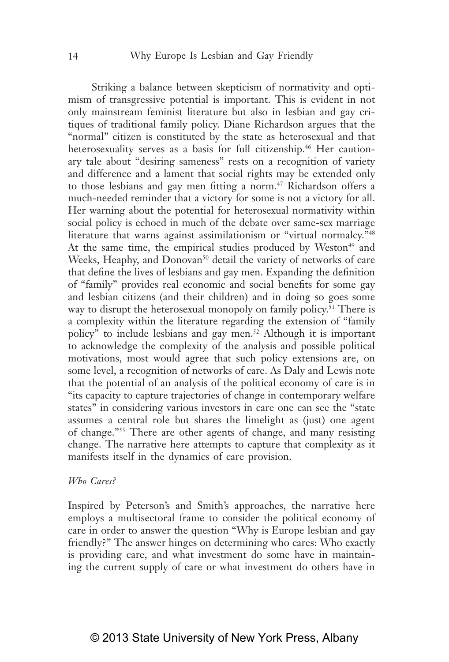Striking a balance between skepticism of normativity and optimism of transgressive potential is important. This is evident in not only mainstream feminist literature but also in lesbian and gay critiques of traditional family policy. Diane Richardson argues that the "normal" citizen is constituted by the state as heterosexual and that heterosexuality serves as a basis for full citizenship.<sup>46</sup> Her cautionary tale about "desiring sameness" rests on a recognition of variety and difference and a lament that social rights may be extended only to those lesbians and gay men fitting a norm.<sup>47</sup> Richardson offers a much-needed reminder that a victory for some is not a victory for all. Her warning about the potential for heterosexual normativity within social policy is echoed in much of the debate over same-sex marriage literature that warns against assimilationism or "virtual normalcy."48 At the same time, the empirical studies produced by Weston<sup>49</sup> and Weeks, Heaphy, and Donovan<sup>50</sup> detail the variety of networks of care that define the lives of lesbians and gay men. Expanding the definition of "family" provides real economic and social benefits for some gay and lesbian citizens (and their children) and in doing so goes some way to disrupt the heterosexual monopoly on family policy.<sup>51</sup> There is a complexity within the literature regarding the extension of "family policy" to include lesbians and gay men.<sup>52</sup> Although it is important to acknowledge the complexity of the analysis and possible political motivations, most would agree that such policy extensions are, on some level, a recognition of networks of care. As Daly and Lewis note that the potential of an analysis of the political economy of care is in "its capacity to capture trajectories of change in contemporary welfare states" in considering various investors in care one can see the "state assumes a central role but shares the limelight as (just) one agent of change."53 There are other agents of change, and many resisting change. The narrative here attempts to capture that complexity as it manifests itself in the dynamics of care provision.

#### *Who Cares?*

Inspired by Peterson's and Smith's approaches, the narrative here employs a multisectoral frame to consider the political economy of care in order to answer the question "Why is Europe lesbian and gay friendly?" The answer hinges on determining who cares: Who exactly is providing care, and what investment do some have in maintaining the current supply of care or what investment do others have in

## © 2013 State University of New York Press, Albany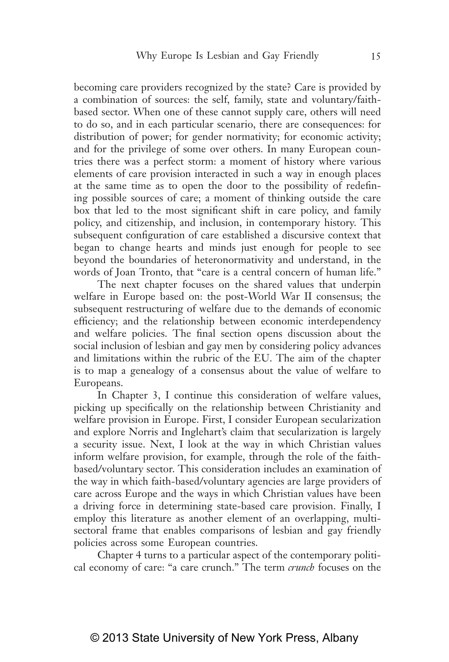becoming care providers recognized by the state? Care is provided by a combination of sources: the self, family, state and voluntary/faithbased sector. When one of these cannot supply care, others will need to do so, and in each particular scenario, there are consequences: for distribution of power; for gender normativity; for economic activity; and for the privilege of some over others. In many European countries there was a perfect storm: a moment of history where various elements of care provision interacted in such a way in enough places at the same time as to open the door to the possibility of redefining possible sources of care; a moment of thinking outside the care box that led to the most significant shift in care policy, and family policy, and citizenship, and inclusion, in contemporary history. This subsequent configuration of care established a discursive context that began to change hearts and minds just enough for people to see beyond the boundaries of heteronormativity and understand, in the words of Joan Tronto, that "care is a central concern of human life."

The next chapter focuses on the shared values that underpin welfare in Europe based on: the post-World War II consensus; the subsequent restructuring of welfare due to the demands of economic efficiency; and the relationship between economic interdependency and welfare policies. The final section opens discussion about the social inclusion of lesbian and gay men by considering policy advances and limitations within the rubric of the EU. The aim of the chapter is to map a genealogy of a consensus about the value of welfare to Europeans.

In Chapter 3, I continue this consideration of welfare values, picking up specifically on the relationship between Christianity and welfare provision in Europe. First, I consider European secularization and explore Norris and Inglehart's claim that secularization is largely a security issue. Next, I look at the way in which Christian values inform welfare provision, for example, through the role of the faithbased/voluntary sector. This consideration includes an examination of the way in which faith-based/voluntary agencies are large providers of care across Europe and the ways in which Christian values have been a driving force in determining state-based care provision. Finally, I employ this literature as another element of an overlapping, multisectoral frame that enables comparisons of lesbian and gay friendly policies across some European countries.

Chapter 4 turns to a particular aspect of the contemporary political economy of care: "a care crunch." The term *crunch* focuses on the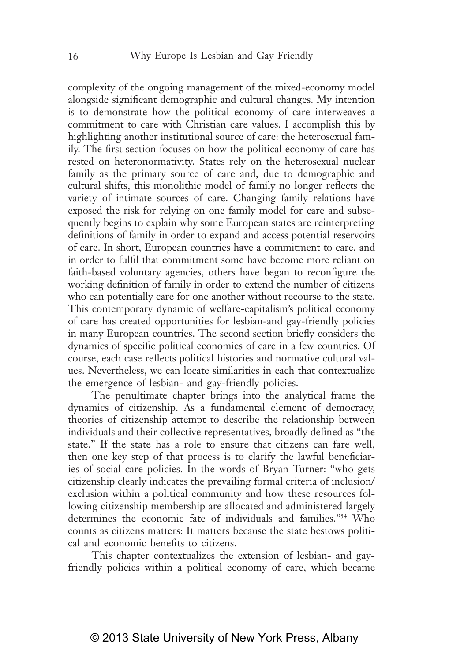complexity of the ongoing management of the mixed-economy model alongside significant demographic and cultural changes. My intention is to demonstrate how the political economy of care interweaves a commitment to care with Christian care values. I accomplish this by highlighting another institutional source of care: the heterosexual family. The first section focuses on how the political economy of care has rested on heteronormativity. States rely on the heterosexual nuclear family as the primary source of care and, due to demographic and cultural shifts, this monolithic model of family no longer reflects the variety of intimate sources of care. Changing family relations have exposed the risk for relying on one family model for care and subsequently begins to explain why some European states are reinterpreting definitions of family in order to expand and access potential reservoirs of care. In short, European countries have a commitment to care, and in order to fulfil that commitment some have become more reliant on faith-based voluntary agencies, others have began to reconfigure the working definition of family in order to extend the number of citizens who can potentially care for one another without recourse to the state. This contemporary dynamic of welfare-capitalism's political economy of care has created opportunities for lesbian-and gay-friendly policies in many European countries. The second section briefly considers the dynamics of specific political economies of care in a few countries. Of course, each case reflects political histories and normative cultural values. Nevertheless, we can locate similarities in each that contextualize the emergence of lesbian- and gay-friendly policies.

The penultimate chapter brings into the analytical frame the dynamics of citizenship. As a fundamental element of democracy, theories of citizenship attempt to describe the relationship between individuals and their collective representatives, broadly defined as "the state." If the state has a role to ensure that citizens can fare well, then one key step of that process is to clarify the lawful beneficiaries of social care policies. In the words of Bryan Turner: "who gets citizenship clearly indicates the prevailing formal criteria of inclusion/ exclusion within a political community and how these resources following citizenship membership are allocated and administered largely determines the economic fate of individuals and families."54 Who counts as citizens matters: It matters because the state bestows political and economic benefits to citizens.

This chapter contextualizes the extension of lesbian- and gayfriendly policies within a political economy of care, which became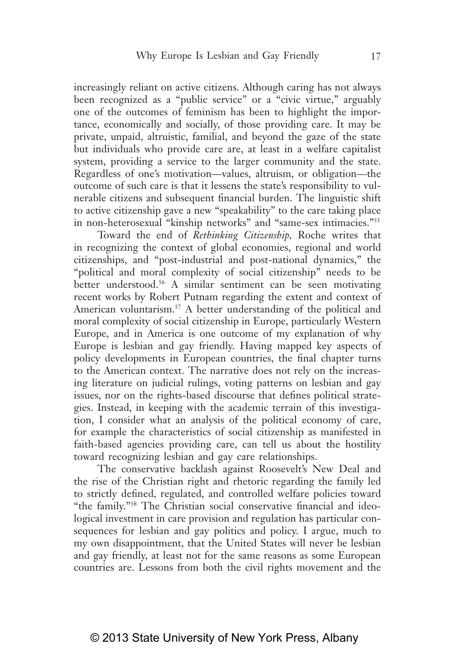increasingly reliant on active citizens. Although caring has not always been recognized as a "public service" or a "civic virtue," arguably one of the outcomes of feminism has been to highlight the importance, economically and socially, of those providing care. It may be private, unpaid, altruistic, familial, and beyond the gaze of the state but individuals who provide care are, at least in a welfare capitalist system, providing a service to the larger community and the state. Regardless of one's motivation—values, altruism, or obligation—the outcome of such care is that it lessens the state's responsibility to vulnerable citizens and subsequent financial burden. The linguistic shift to active citizenship gave a new "speakability" to the care taking place in non-heterosexual "kinship networks" and "same-sex intimacies."55

Toward the end of *Rethinking Citizenship,* Roche writes that in recognizing the context of global economies, regional and world citizenships, and "post-industrial and post-national dynamics," the "political and moral complexity of social citizenship" needs to be better understood.<sup>56</sup> A similar sentiment can be seen motivating recent works by Robert Putnam regarding the extent and context of American voluntarism.57 A better understanding of the political and moral complexity of social citizenship in Europe, particularly Western Europe, and in America is one outcome of my explanation of why Europe is lesbian and gay friendly. Having mapped key aspects of policy developments in European countries, the final chapter turns to the American context. The narrative does not rely on the increasing literature on judicial rulings, voting patterns on lesbian and gay issues, nor on the rights-based discourse that defines political strategies. Instead, in keeping with the academic terrain of this investigation, I consider what an analysis of the political economy of care, for example the characteristics of social citizenship as manifested in faith-based agencies providing care, can tell us about the hostility toward recognizing lesbian and gay care relationships.

The conservative backlash against Roosevelt's New Deal and the rise of the Christian right and rhetoric regarding the family led to strictly defined, regulated, and controlled welfare policies toward "the family."58 The Christian social conservative financial and ideological investment in care provision and regulation has particular consequences for lesbian and gay politics and policy. I argue, much to my own disappointment, that the United States will never be lesbian and gay friendly, at least not for the same reasons as some European countries are. Lessons from both the civil rights movement and the